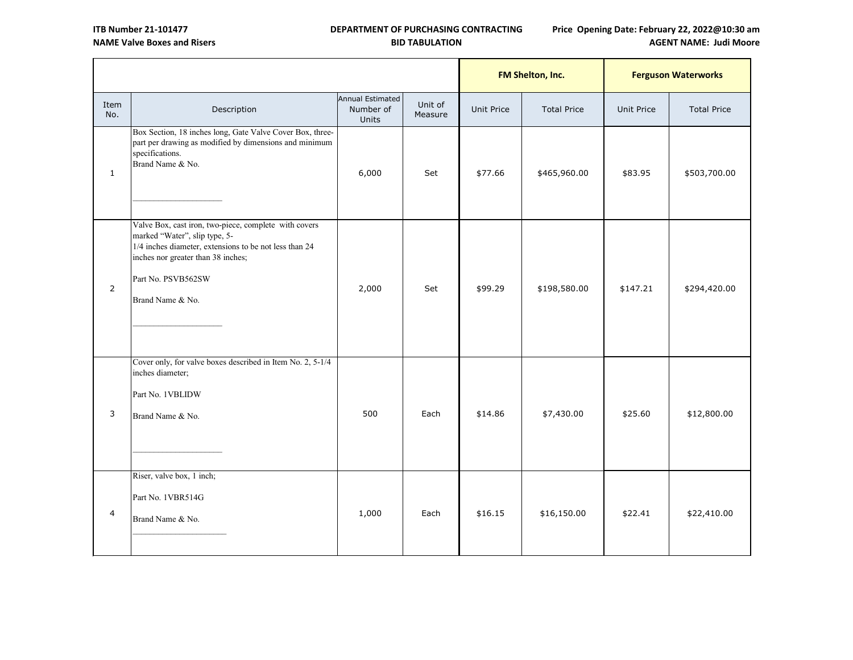## **DEPARTMENT OF PURCHASING CONTRACTING BID TABULATION**

# **Price Opening Date: February 22, 2022@10:30 am AGENT NAME: Judi Moore**

|                |                                                                                                                                                                                                                                  |                                               |                    | FM Shelton, Inc.  |                    | <b>Ferguson Waterworks</b> |                    |
|----------------|----------------------------------------------------------------------------------------------------------------------------------------------------------------------------------------------------------------------------------|-----------------------------------------------|--------------------|-------------------|--------------------|----------------------------|--------------------|
| Item<br>No.    | Description                                                                                                                                                                                                                      | Annual Estimated<br>Number of<br><b>Units</b> | Unit of<br>Measure | <b>Unit Price</b> | <b>Total Price</b> | <b>Unit Price</b>          | <b>Total Price</b> |
| $\mathbf{1}$   | Box Section, 18 inches long, Gate Valve Cover Box, three-<br>part per drawing as modified by dimensions and minimum<br>specifications.<br>Brand Name & No.                                                                       | 6,000                                         | Set                | \$77.66           | \$465,960.00       | \$83.95                    | \$503,700.00       |
| $\overline{2}$ | Valve Box, cast iron, two-piece, complete with covers<br>marked "Water", slip type, 5-<br>1/4 inches diameter, extensions to be not less than 24<br>inches nor greater than 38 inches;<br>Part No. PSVB562SW<br>Brand Name & No. | 2,000                                         | Set                | \$99.29           | \$198,580.00       | \$147.21                   | \$294,420.00       |
| 3              | Cover only, for valve boxes described in Item No. 2, 5-1/4<br>inches diameter;<br>Part No. 1VBLIDW<br>Brand Name & No.                                                                                                           | 500                                           | Each               | \$14.86           | \$7,430.00         | \$25.60                    | \$12,800.00        |
| $\overline{4}$ | Riser, valve box, 1 inch;<br>Part No. 1VBR514G<br>Brand Name & No.                                                                                                                                                               | 1,000                                         | Each               | \$16.15           | \$16,150.00        | \$22.41                    | \$22,410.00        |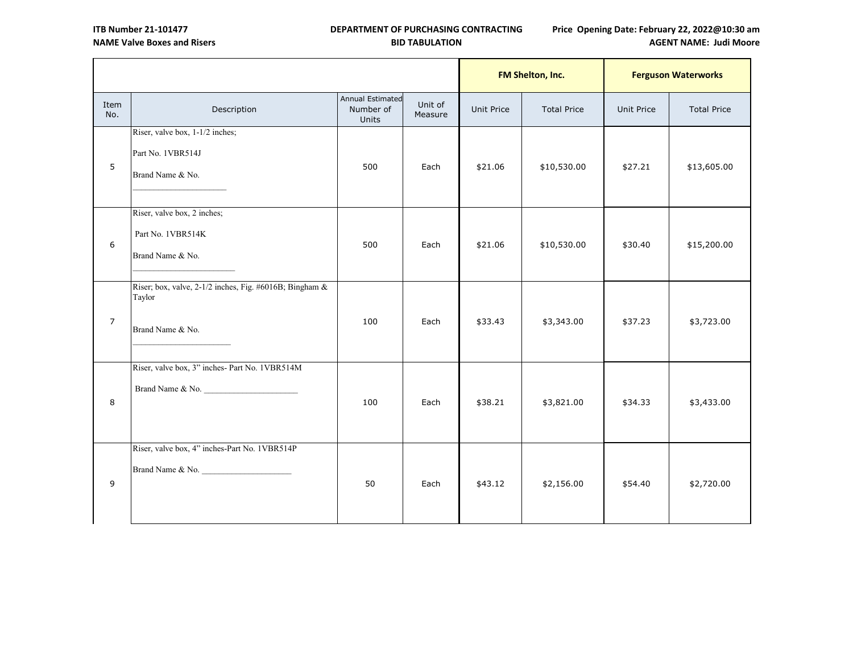## **Price Opening Date: February 22, 2022@10:30 am AGENT NAME: Judi Moore**

|                |                                                                                         |                                        |                    | FM Shelton, Inc.  |                    | <b>Ferguson Waterworks</b> |                    |
|----------------|-----------------------------------------------------------------------------------------|----------------------------------------|--------------------|-------------------|--------------------|----------------------------|--------------------|
| Item<br>No.    | Description                                                                             | Annual Estimated<br>Number of<br>Units | Unit of<br>Measure | <b>Unit Price</b> | <b>Total Price</b> | <b>Unit Price</b>          | <b>Total Price</b> |
| 5              | Riser, valve box, 1-1/2 inches;<br>Part No. 1VBR514J<br>Brand Name & No.                | 500                                    | Each               | \$21.06           | \$10,530.00        | \$27.21                    | \$13,605.00        |
| 6              | Riser, valve box, 2 inches;<br>Part No. 1VBR514K<br>Brand Name & No.                    | 500                                    | Each               | \$21.06           | \$10,530.00        | \$30.40                    | \$15,200.00        |
| $\overline{7}$ | Riser; box, valve, $2-1/2$ inches, Fig. #6016B; Bingham &<br>Taylor<br>Brand Name & No. | 100                                    | Each               | \$33.43           | \$3,343.00         | \$37.23                    | \$3,723.00         |
| 8              | Riser, valve box, 3" inches- Part No. 1VBR514M<br>Brand Name & No.                      | 100                                    | Each               | \$38.21           | \$3,821.00         | \$34.33                    | \$3,433.00         |
| 9              | Riser, valve box, 4" inches-Part No. 1VBR514P<br>Brand Name & No.                       | 50                                     | Each               | \$43.12           | \$2,156.00         | \$54.40                    | \$2,720.00         |